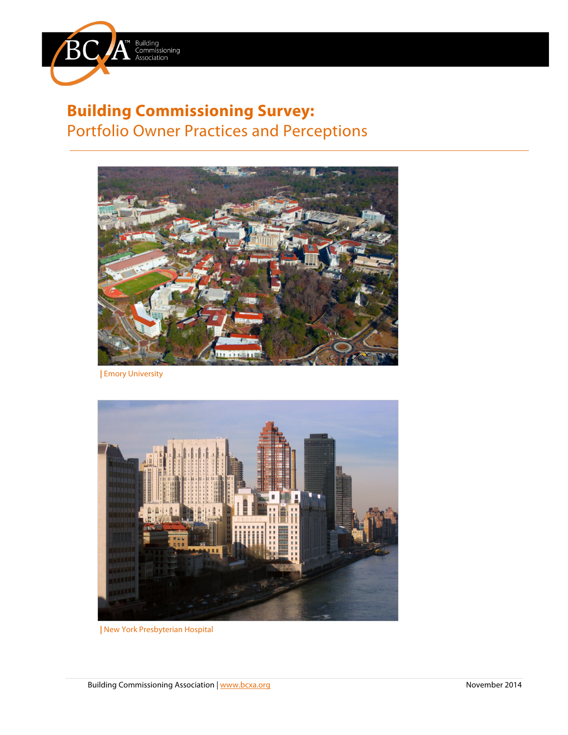

# **Building Commissioning Survey:** Portfolio Owner Practices and Perceptions



**|** Emory University



**|** New York Presbyterian Hospital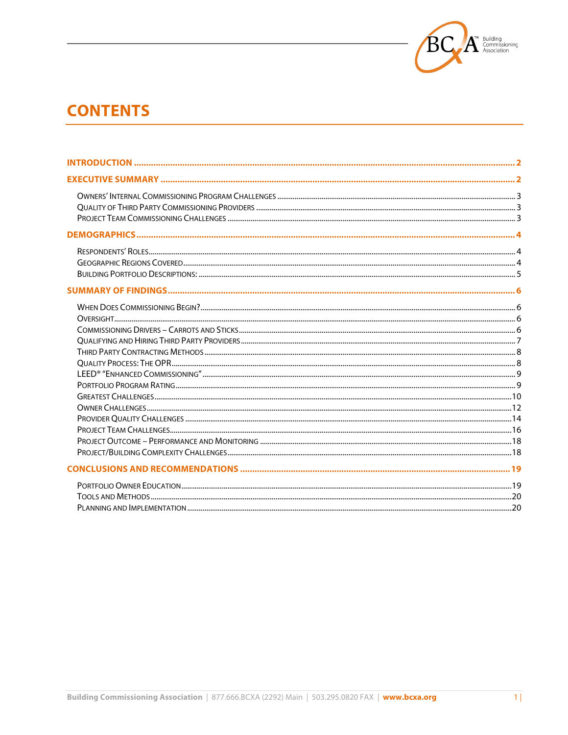

# **CONTENTS**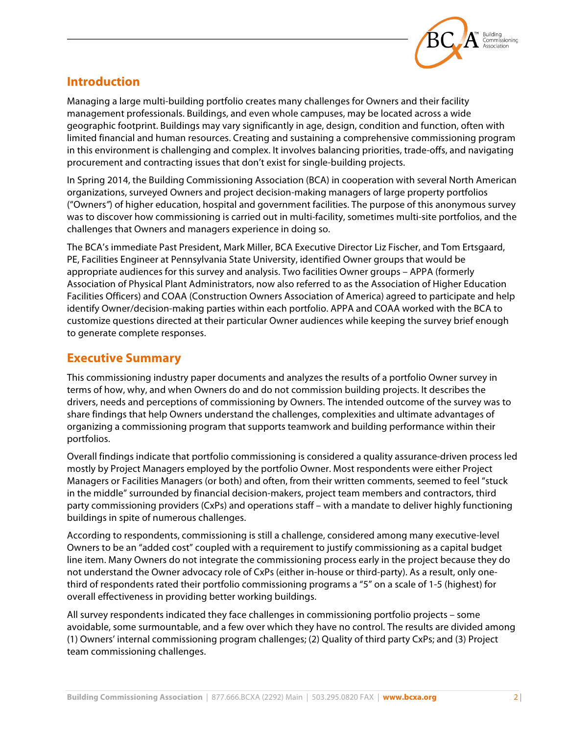

# **Introduction**

Managing a large multi-building portfolio creates many challenges for Owners and their facility management professionals. Buildings, and even whole campuses, may be located across a wide geographic footprint. Buildings may vary significantly in age, design, condition and function, often with limited financial and human resources. Creating and sustaining a comprehensive commissioning program in this environment is challenging and complex. It involves balancing priorities, trade-offs, and navigating procurement and contracting issues that don't exist for single-building projects.

In Spring 2014, the Building Commissioning Association (BCA) in cooperation with several North American organizations, surveyed Owners and project decision-making managers of large property portfolios ("Owners*"*) of higher education, hospital and government facilities. The purpose of this anonymous survey was to discover how commissioning is carried out in multi-facility, sometimes multi-site portfolios, and the challenges that Owners and managers experience in doing so.

The BCA's immediate Past President, Mark Miller, BCA Executive Director Liz Fischer, and Tom Ertsgaard, PE, Facilities Engineer at Pennsylvania State University, identified Owner groups that would be appropriate audiences for this survey and analysis. Two facilities Owner groups – APPA (formerly Association of Physical Plant Administrators, now also referred to as the Association of Higher Education Facilities Officers) and COAA (Construction Owners Association of America) agreed to participate and help identify Owner/decision-making parties within each portfolio. APPA and COAA worked with the BCA to customize questions directed at their particular Owner audiences while keeping the survey brief enough to generate complete responses.

# **Executive Summary**

This commissioning industry paper documents and analyzes the results of a portfolio Owner survey in terms of how, why, and when Owners do and do not commission building projects. It describes the drivers, needs and perceptions of commissioning by Owners. The intended outcome of the survey was to share findings that help Owners understand the challenges, complexities and ultimate advantages of organizing a commissioning program that supports teamwork and building performance within their portfolios.

Overall findings indicate that portfolio commissioning is considered a quality assurance-driven process led mostly by Project Managers employed by the portfolio Owner. Most respondents were either Project Managers or Facilities Managers (or both) and often, from their written comments, seemed to feel "stuck in the middle" surrounded by financial decision-makers, project team members and contractors, third party commissioning providers (CxPs) and operations staff – with a mandate to deliver highly functioning buildings in spite of numerous challenges.

According to respondents, commissioning is still a challenge, considered among many executive-level Owners to be an "added cost" coupled with a requirement to justify commissioning as a capital budget line item. Many Owners do not integrate the commissioning process early in the project because they do not understand the Owner advocacy role of CxPs (either in-house or third-party). As a result, only onethird of respondents rated their portfolio commissioning programs a "5" on a scale of 1-5 (highest) for overall effectiveness in providing better working buildings.

All survey respondents indicated they face challenges in commissioning portfolio projects – some avoidable, some surmountable, and a few over which they have no control. The results are divided among (1) Owners' internal commissioning program challenges; (2) Quality of third party CxPs; and (3) Project team commissioning challenges.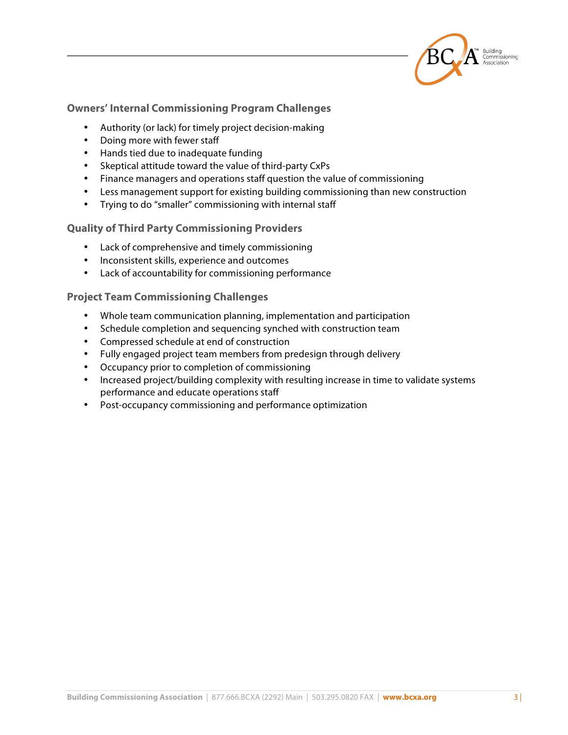

#### **Owners' Internal Commissioning Program Challenges**

- Authority (or lack) for timely project decision-making
- Doing more with fewer staff
- Hands tied due to inadequate funding
- Skeptical attitude toward the value of third-party CxPs
- Finance managers and operations staff question the value of commissioning
- Less management support for existing building commissioning than new construction
- Trying to do "smaller" commissioning with internal staff

#### **Quality of Third Party Commissioning Providers**

- Lack of comprehensive and timely commissioning
- Inconsistent skills, experience and outcomes
- Lack of accountability for commissioning performance

#### **Project Team Commissioning Challenges**

- Whole team communication planning, implementation and participation
- Schedule completion and sequencing synched with construction team
- Compressed schedule at end of construction
- Fully engaged project team members from predesign through delivery
- Occupancy prior to completion of commissioning
- Increased project/building complexity with resulting increase in time to validate systems performance and educate operations staff
- Post-occupancy commissioning and performance optimization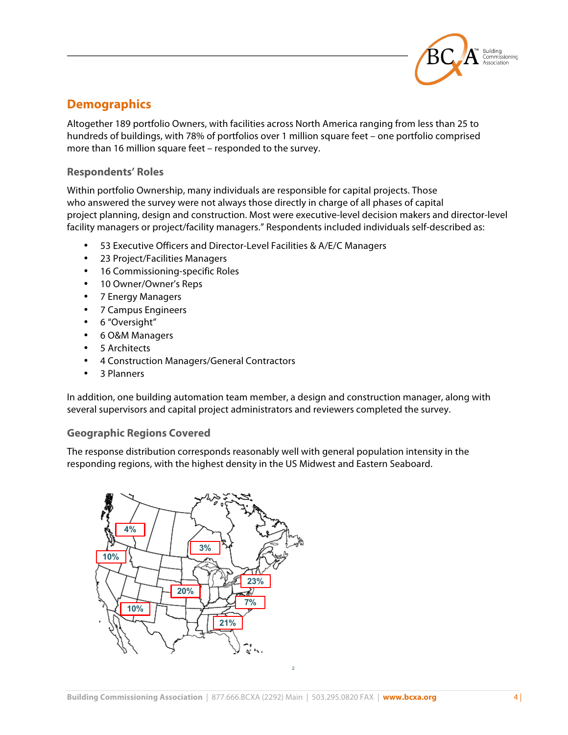

# **Demographics**

Altogether 189 portfolio Owners, with facilities across North America ranging from less than 25 to hundreds of buildings, with 78% of portfolios over 1 million square feet – one portfolio comprised more than 16 million square feet – responded to the survey.

#### **Respondents' Roles**

Within portfolio Ownership, many individuals are responsible for capital projects. Those who answered the survey were not always those directly in charge of all phases of capital project planning, design and construction. Most were executive-level decision makers and director-level facility managers or project/facility managers." Respondents included individuals self-described as:

- 53 Executive Officers and Director-Level Facilities & A/E/C Managers
- 23 Project/Facilities Managers
- 16 Commissioning-specific Roles
- 10 Owner/Owner's Reps
- 7 Energy Managers
- 7 Campus Engineers
- 6 "Oversight"
- 6 O&M Managers
- 5 Architects
- 4 Construction Managers/General Contractors
- 3 Planners

In addition, one building automation team member, a design and construction manager, along with several supervisors and capital project administrators and reviewers completed the survey.

#### **Geographic Regions Covered**

The response distribution corresponds reasonably well with general population intensity in the responding regions, with the highest density in the US Midwest and Eastern Seaboard.

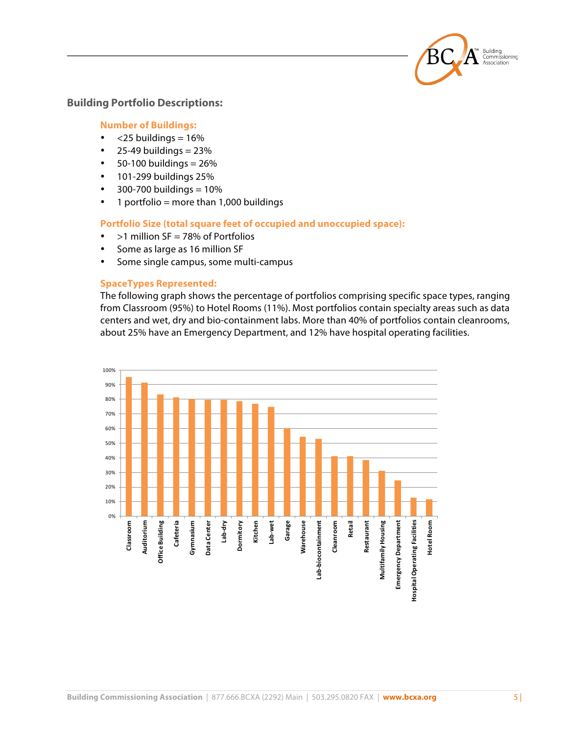

#### **Building Portfolio Descriptions:**

#### **Number of Buildings:**

- $<$ 25 buildings = 16%
- $\cdot$  25-49 buildings = 23%
- $\cdot$  50-100 buildings = 26%
- 101-299 buildings 25%
- $300 700$  buildings =  $10%$
- $\cdot$  1 portfolio = more than 1,000 buildings

#### **Portfolio Size (total square feet of occupied and unoccupied space):**

- $>1$  million SF = 78% of Portfolios
- Some as large as 16 million SF
- Some single campus, some multi-campus

#### **SpaceTypes Represented:**

The following graph shows the percentage of portfolios comprising specific space types, ranging from Classroom (95%) to Hotel Rooms (11%). Most portfolios contain specialty areas such as data centers and wet, dry and bio-containment labs. More than 40% of portfolios contain cleanrooms, about 25% have an Emergency Department, and 12% have hospital operating facilities.

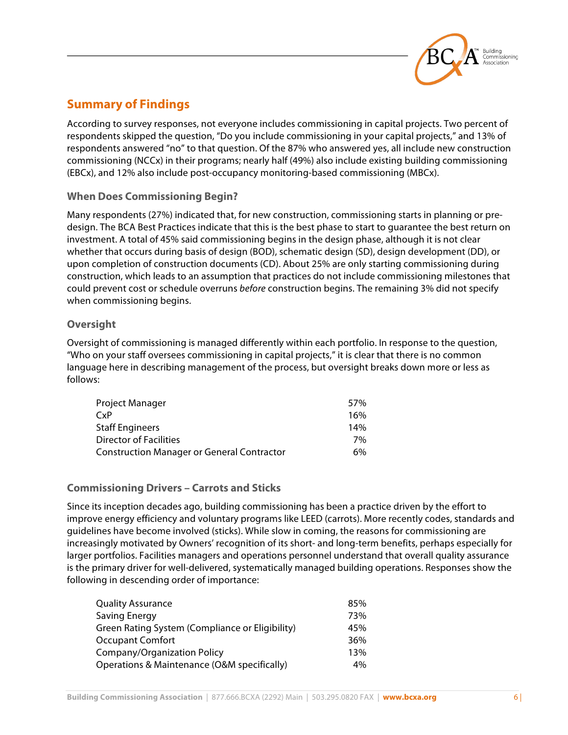

# **Summary of Findings**

According to survey responses, not everyone includes commissioning in capital projects. Two percent of respondents skipped the question, "Do you include commissioning in your capital projects," and 13% of respondents answered "no" to that question. Of the 87% who answered yes, all include new construction commissioning (NCCx) in their programs; nearly half (49%) also include existing building commissioning (EBCx), and 12% also include post-occupancy monitoring-based commissioning (MBCx).

## **When Does Commissioning Begin?**

Many respondents (27%) indicated that, for new construction, commissioning starts in planning or predesign. The BCA Best Practices indicate that this is the best phase to start to guarantee the best return on investment. A total of 45% said commissioning begins in the design phase, although it is not clear whether that occurs during basis of design (BOD), schematic design (SD), design development (DD), or upon completion of construction documents (CD). About 25% are only starting commissioning during construction, which leads to an assumption that practices do not include commissioning milestones that could prevent cost or schedule overruns *before* construction begins. The remaining 3% did not specify when commissioning begins.

#### **Oversight**

Oversight of commissioning is managed differently within each portfolio. In response to the question, "Who on your staff oversees commissioning in capital projects," it is clear that there is no common language here in describing management of the process, but oversight breaks down more or less as follows:

| Project Manager                            | 57% |
|--------------------------------------------|-----|
| CxP                                        | 16% |
| <b>Staff Engineers</b>                     | 14% |
| Director of Facilities                     | 7%  |
| Construction Manager or General Contractor | 6%  |

## **Commissioning Drivers – Carrots and Sticks**

Since its inception decades ago, building commissioning has been a practice driven by the effort to improve energy efficiency and voluntary programs like LEED (carrots). More recently codes, standards and guidelines have become involved (sticks). While slow in coming, the reasons for commissioning are increasingly motivated by Owners' recognition of its short- and long-term benefits, perhaps especially for larger portfolios. Facilities managers and operations personnel understand that overall quality assurance is the primary driver for well-delivered, systematically managed building operations. Responses show the following in descending order of importance:

| <b>Quality Assurance</b>                        | 85% |
|-------------------------------------------------|-----|
| Saving Energy                                   | 73% |
| Green Rating System (Compliance or Eligibility) | 45% |
| <b>Occupant Comfort</b>                         | 36% |
| Company/Organization Policy                     | 13% |
| Operations & Maintenance (O&M specifically)     | 4%  |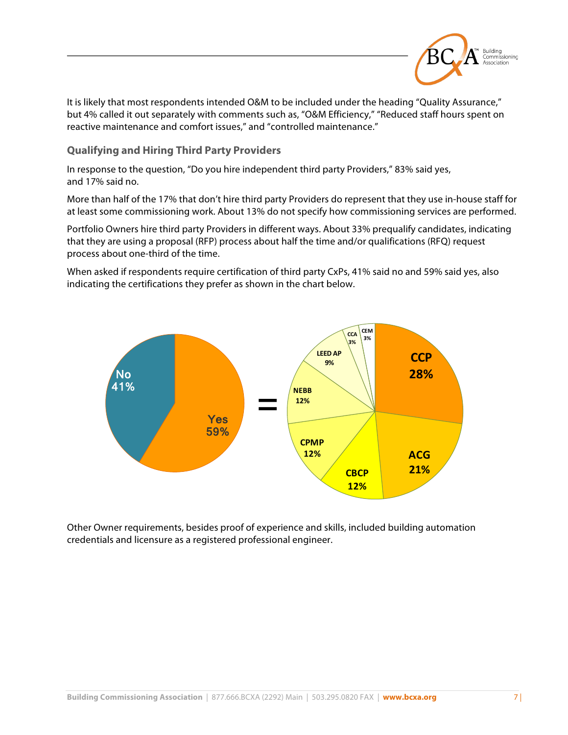

It is likely that most respondents intended O&M to be included under the heading "Quality Assurance," but 4% called it out separately with comments such as, "O&M Efficiency," "Reduced staff hours spent on reactive maintenance and comfort issues," and "controlled maintenance."

**Qualifying and Hiring Third Party Providers**

In response to the question, "Do you hire independent third party Providers," 83% said yes, and 17% said no.

More than half of the 17% that don't hire third party Providers do represent that they use in-house staff for at least some commissioning work. About 13% do not specify how commissioning services are performed.

Portfolio Owners hire third party Providers in different ways. About 33% prequalify candidates, indicating that they are using a proposal (RFP) process about half the time and/or qualifications (RFQ) request process about one-third of the time.

When asked if respondents require certification of third party CxPs, 41% said no and 59% said yes, also indicating the certifications they prefer as shown in the chart below.



Other Owner requirements, besides proof of experience and skills, included building automation credentials and licensure as a registered professional engineer.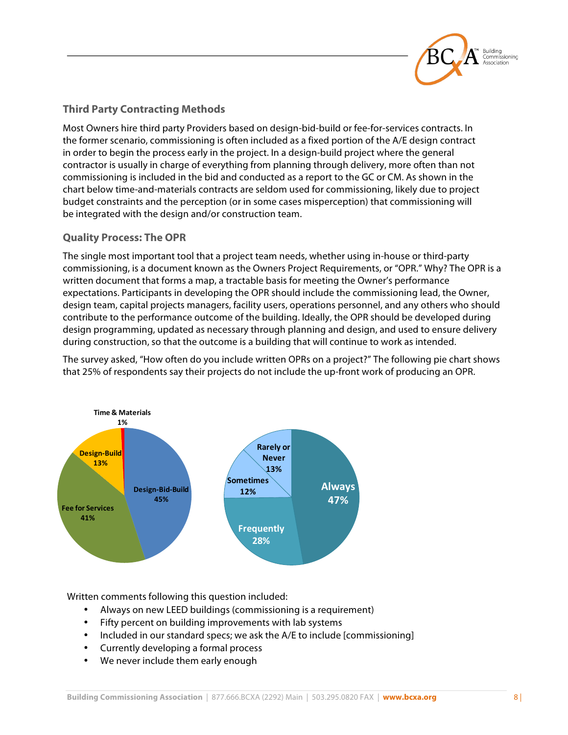

# **Third Party Contracting Methods**

Most Owners hire third party Providers based on design-bid-build or fee-for-services contracts. In the former scenario, commissioning is often included as a fixed portion of the A/E design contract in order to begin the process early in the project. In a design-build project where the general contractor is usually in charge of everything from planning through delivery, more often than not commissioning is included in the bid and conducted as a report to the GC or CM. As shown in the chart below time-and-materials contracts are seldom used for commissioning, likely due to project budget constraints and the perception (or in some cases misperception) that commissioning will be integrated with the design and/or construction team.

## **Quality Process: The OPR**

The single most important tool that a project team needs, whether using in-house or third-party commissioning, is a document known as the Owners Project Requirements, or "OPR." Why? The OPR is a written document that forms a map, a tractable basis for meeting the Owner's performance expectations. Participants in developing the OPR should include the commissioning lead, the Owner, design team, capital projects managers, facility users, operations personnel, and any others who should contribute to the performance outcome of the building. Ideally, the OPR should be developed during design programming, updated as necessary through planning and design, and used to ensure delivery during construction, so that the outcome is a building that will continue to work as intended.

The survey asked, "How often do you include written OPRs on a project?" The following pie chart shows that 25% of respondents say their projects do not include the up-front work of producing an OPR.



Written comments following this question included:

- Always on new LEED buildings (commissioning is a requirement)
- Fifty percent on building improvements with lab systems
- Included in our standard specs; we ask the A/E to include [commissioning]
- Currently developing a formal process
- We never include them early enough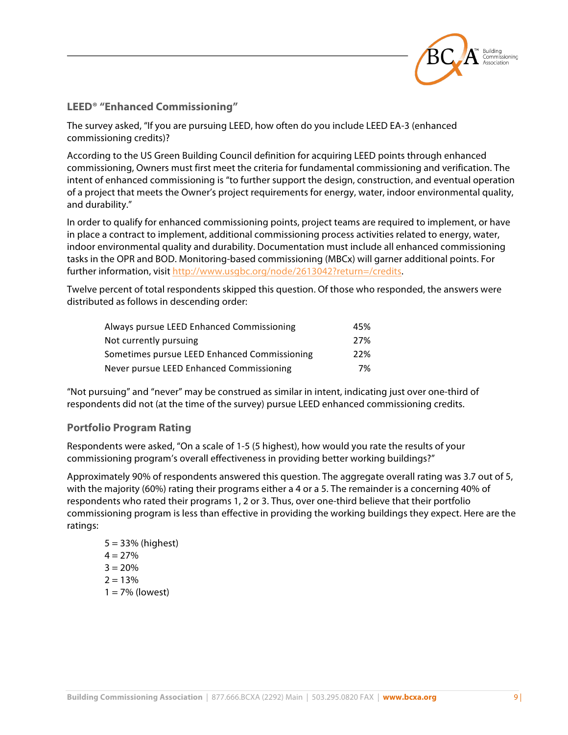

#### **LEED® "Enhanced Commissioning"**

The survey asked, "If you are pursuing LEED, how often do you include LEED EA-3 (enhanced commissioning credits)?

According to the US Green Building Council definition for acquiring LEED points through enhanced commissioning, Owners must first meet the criteria for fundamental commissioning and verification. The intent of enhanced commissioning is "to further support the design, construction, and eventual operation of a project that meets the Owner's project requirements for energy, water, indoor environmental quality, and durability."

In order to qualify for enhanced commissioning points, project teams are required to implement, or have in place a contract to implement, additional commissioning process activities related to energy, water, indoor environmental quality and durability. Documentation must include all enhanced commissioning tasks in the OPR and BOD. Monitoring-based commissioning (MBCx) will garner additional points. For further information, visit http://www.usgbc.org/node/2613042?return=/credits.

Twelve percent of total respondents skipped this question. Of those who responded, the answers were distributed as follows in descending order:

| Always pursue LEED Enhanced Commissioning    | 45% |
|----------------------------------------------|-----|
| Not currently pursuing                       | 27% |
| Sometimes pursue LEED Enhanced Commissioning | 22% |
| Never pursue LEED Enhanced Commissioning     | 7%  |

"Not pursuing" and "never" may be construed as similar in intent, indicating just over one-third of respondents did not (at the time of the survey) pursue LEED enhanced commissioning credits.

#### **Portfolio Program Rating**

Respondents were asked, "On a scale of 1-5 (5 highest), how would you rate the results of your commissioning program's overall effectiveness in providing better working buildings?"

Approximately 90% of respondents answered this question. The aggregate overall rating was 3.7 out of 5, with the majority (60%) rating their programs either a 4 or a 5. The remainder is a concerning 40% of respondents who rated their programs 1, 2 or 3. Thus, over one-third believe that their portfolio commissioning program is less than effective in providing the working buildings they expect. Here are the ratings:

 $5 = 33\%$  (highest)  $4 = 27%$  $3 = 20%$  $2 = 13%$  $1 = 7\%$  (lowest)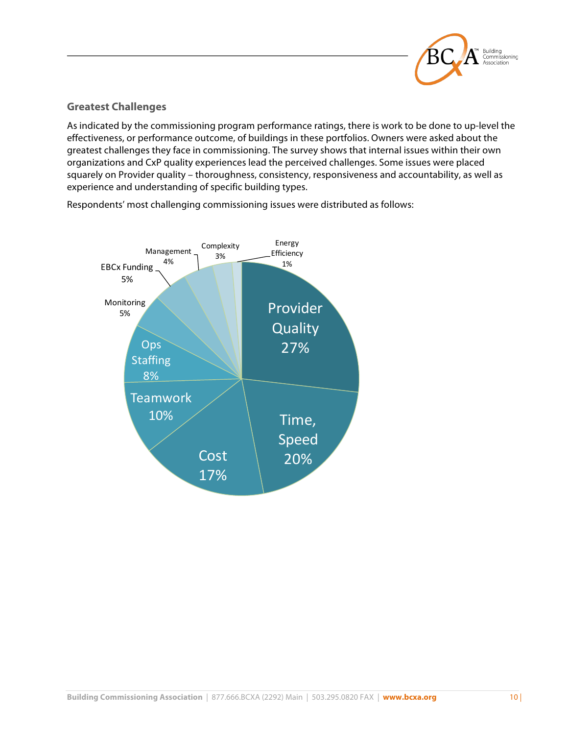

## **Greatest Challenges**

As indicated by the commissioning program performance ratings, there is work to be done to up-level the effectiveness, or performance outcome, of buildings in these portfolios. Owners were asked about the greatest challenges they face in commissioning. The survey shows that internal issues within their own organizations and CxP quality experiences lead the perceived challenges. Some issues were placed squarely on Provider quality – thoroughness, consistency, responsiveness and accountability, as well as experience and understanding of specific building types.

Respondents' most challenging commissioning issues were distributed as follows:

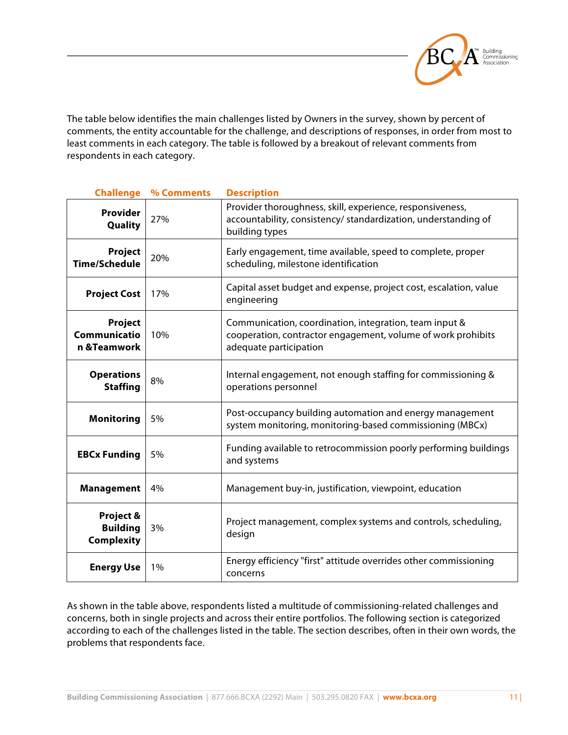

The table below identifies the main challenges listed by Owners in the survey, shown by percent of comments, the entity accountable for the challenge, and descriptions of responses, in order from most to least comments in each category. The table is followed by a breakout of relevant comments from respondents in each category.

| <b>Challenge</b>                                  | % Comments | <b>Description</b>                                                                                                                               |
|---------------------------------------------------|------------|--------------------------------------------------------------------------------------------------------------------------------------------------|
| Provider<br>Quality                               | 27%        | Provider thoroughness, skill, experience, responsiveness,<br>accountability, consistency/ standardization, understanding of<br>building types    |
| Project<br><b>Time/Schedule</b>                   | 20%        | Early engagement, time available, speed to complete, proper<br>scheduling, milestone identification                                              |
| <b>Project Cost</b>                               | 17%        | Capital asset budget and expense, project cost, escalation, value<br>engineering                                                                 |
| Project<br>Communicatio<br>n &Teamwork            | 10%        | Communication, coordination, integration, team input &<br>cooperation, contractor engagement, volume of work prohibits<br>adequate participation |
| <b>Operations</b><br><b>Staffing</b>              | 8%         | Internal engagement, not enough staffing for commissioning &<br>operations personnel                                                             |
| <b>Monitoring</b>                                 | 5%         | Post-occupancy building automation and energy management<br>system monitoring, monitoring-based commissioning (MBCx)                             |
| <b>EBCx Funding</b>                               | 5%         | Funding available to retrocommission poorly performing buildings<br>and systems                                                                  |
| <b>Management</b>                                 | 4%         | Management buy-in, justification, viewpoint, education                                                                                           |
| Project &<br><b>Building</b><br><b>Complexity</b> | 3%         | Project management, complex systems and controls, scheduling,<br>design                                                                          |
| <b>Energy Use</b>                                 | 1%         | Energy efficiency "first" attitude overrides other commissioning<br>concerns                                                                     |

As shown in the table above, respondents listed a multitude of commissioning-related challenges and concerns, both in single projects and across their entire portfolios. The following section is categorized according to each of the challenges listed in the table. The section describes, often in their own words, the problems that respondents face.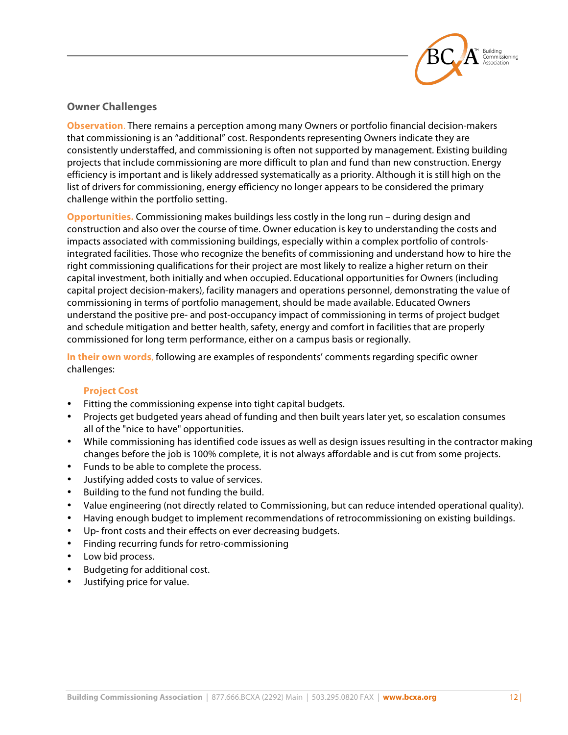

## **Owner Challenges**

**Observation**. There remains a perception among many Owners or portfolio financial decision-makers that commissioning is an "additional" cost. Respondents representing Owners indicate they are consistently understaffed, and commissioning is often not supported by management. Existing building projects that include commissioning are more difficult to plan and fund than new construction. Energy efficiency is important and is likely addressed systematically as a priority. Although it is still high on the list of drivers for commissioning, energy efficiency no longer appears to be considered the primary challenge within the portfolio setting.

**Opportunities.** Commissioning makes buildings less costly in the long run – during design and construction and also over the course of time. Owner education is key to understanding the costs and impacts associated with commissioning buildings, especially within a complex portfolio of controlsintegrated facilities. Those who recognize the benefits of commissioning and understand how to hire the right commissioning qualifications for their project are most likely to realize a higher return on their capital investment, both initially and when occupied. Educational opportunities for Owners (including capital project decision-makers), facility managers and operations personnel, demonstrating the value of commissioning in terms of portfolio management, should be made available. Educated Owners understand the positive pre- and post-occupancy impact of commissioning in terms of project budget and schedule mitigation and better health, safety, energy and comfort in facilities that are properly commissioned for long term performance, either on a campus basis or regionally.

**In their own words**, following are examples of respondents' comments regarding specific owner challenges:

#### **Project Cost**

- Fitting the commissioning expense into tight capital budgets.
- Projects get budgeted years ahead of funding and then built years later yet, so escalation consumes all of the "nice to have" opportunities.
- While commissioning has identified code issues as well as design issues resulting in the contractor making changes before the job is 100% complete, it is not always affordable and is cut from some projects.
- Funds to be able to complete the process.
- Justifying added costs to value of services.
- Building to the fund not funding the build.
- Value engineering (not directly related to Commissioning, but can reduce intended operational quality).
- Having enough budget to implement recommendations of retrocommissioning on existing buildings.
- Up- front costs and their effects on ever decreasing budgets.
- Finding recurring funds for retro-commissioning
- Low bid process.
- Budgeting for additional cost.
- Justifying price for value.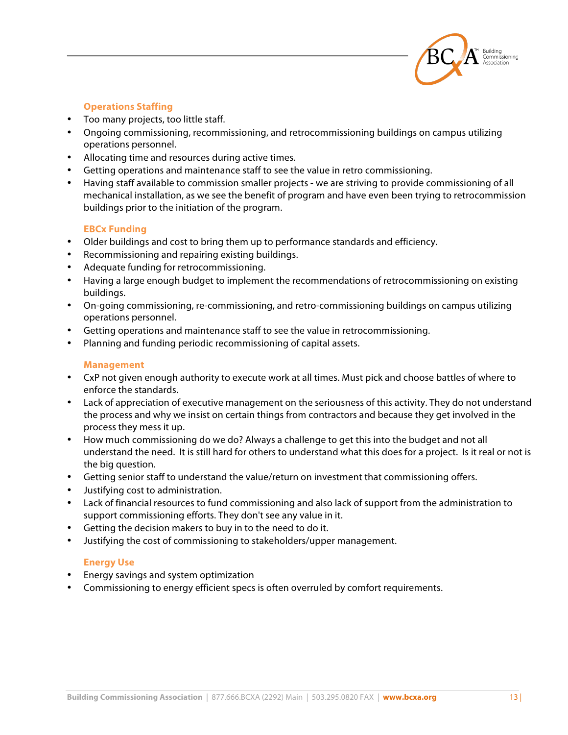

#### **Operations Staffing**

- Too many projects, too little staff.
- Ongoing commissioning, recommissioning, and retrocommissioning buildings on campus utilizing operations personnel.
- Allocating time and resources during active times.
- Getting operations and maintenance staff to see the value in retro commissioning.
- Having staff available to commission smaller projects we are striving to provide commissioning of all mechanical installation, as we see the benefit of program and have even been trying to retrocommission buildings prior to the initiation of the program.

#### **EBCx Funding**

- Older buildings and cost to bring them up to performance standards and efficiency.
- Recommissioning and repairing existing buildings.
- Adequate funding for retrocommissioning.
- Having a large enough budget to implement the recommendations of retrocommissioning on existing buildings.
- On-going commissioning, re-commissioning, and retro-commissioning buildings on campus utilizing operations personnel.
- Getting operations and maintenance staff to see the value in retrocommissioning.
- Planning and funding periodic recommissioning of capital assets.

#### **Management**

- CxP not given enough authority to execute work at all times. Must pick and choose battles of where to enforce the standards.
- Lack of appreciation of executive management on the seriousness of this activity. They do not understand the process and why we insist on certain things from contractors and because they get involved in the process they mess it up.
- How much commissioning do we do? Always a challenge to get this into the budget and not all understand the need. It is still hard for others to understand what this does for a project. Is it real or not is the big question.
- Getting senior staff to understand the value/return on investment that commissioning offers.
- Justifying cost to administration.
- Lack of financial resources to fund commissioning and also lack of support from the administration to support commissioning efforts. They don't see any value in it.
- Getting the decision makers to buy in to the need to do it.
- Justifying the cost of commissioning to stakeholders/upper management.

#### **Energy Use**

- Energy savings and system optimization
- Commissioning to energy efficient specs is often overruled by comfort requirements.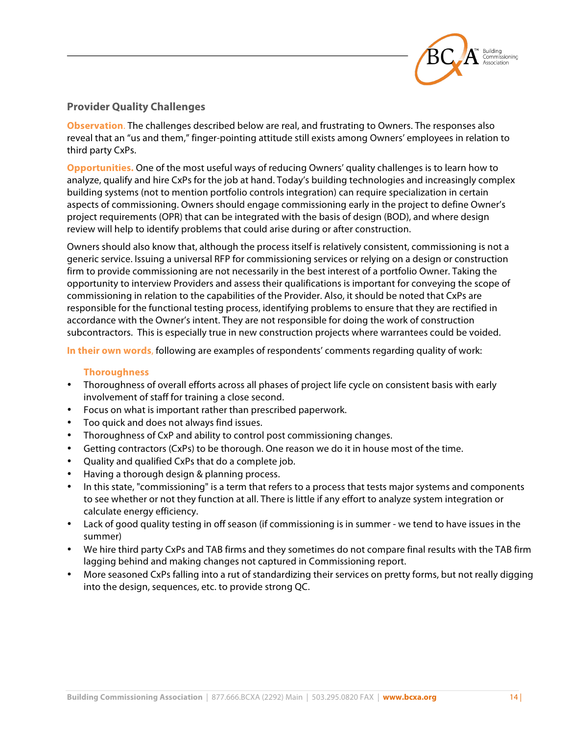

#### **Provider Quality Challenges**

**Observation**. The challenges described below are real, and frustrating to Owners. The responses also reveal that an "us and them," finger-pointing attitude still exists among Owners' employees in relation to third party CxPs.

**Opportunities.** One of the most useful ways of reducing Owners' quality challenges is to learn how to analyze, qualify and hire CxPs for the job at hand. Today's building technologies and increasingly complex building systems (not to mention portfolio controls integration) can require specialization in certain aspects of commissioning. Owners should engage commissioning early in the project to define Owner's project requirements (OPR) that can be integrated with the basis of design (BOD), and where design review will help to identify problems that could arise during or after construction.

Owners should also know that, although the process itself is relatively consistent, commissioning is not a generic service. Issuing a universal RFP for commissioning services or relying on a design or construction firm to provide commissioning are not necessarily in the best interest of a portfolio Owner. Taking the opportunity to interview Providers and assess their qualifications is important for conveying the scope of commissioning in relation to the capabilities of the Provider. Also, it should be noted that CxPs are responsible for the functional testing process, identifying problems to ensure that they are rectified in accordance with the Owner's intent. They are not responsible for doing the work of construction subcontractors. This is especially true in new construction projects where warrantees could be voided.

**In their own words**, following are examples of respondents' comments regarding quality of work:

#### **Thoroughness**

- Thoroughness of overall efforts across all phases of project life cycle on consistent basis with early involvement of staff for training a close second.
- Focus on what is important rather than prescribed paperwork.
- Too quick and does not always find issues.
- Thoroughness of CxP and ability to control post commissioning changes.
- Getting contractors (CxPs) to be thorough. One reason we do it in house most of the time.
- Quality and qualified CxPs that do a complete job.
- Having a thorough design & planning process.
- In this state, "commissioning" is a term that refers to a process that tests major systems and components to see whether or not they function at all. There is little if any effort to analyze system integration or calculate energy efficiency.
- Lack of good quality testing in off season (if commissioning is in summer we tend to have issues in the summer)
- We hire third party CxPs and TAB firms and they sometimes do not compare final results with the TAB firm lagging behind and making changes not captured in Commissioning report.
- More seasoned CxPs falling into a rut of standardizing their services on pretty forms, but not really digging into the design, sequences, etc. to provide strong QC.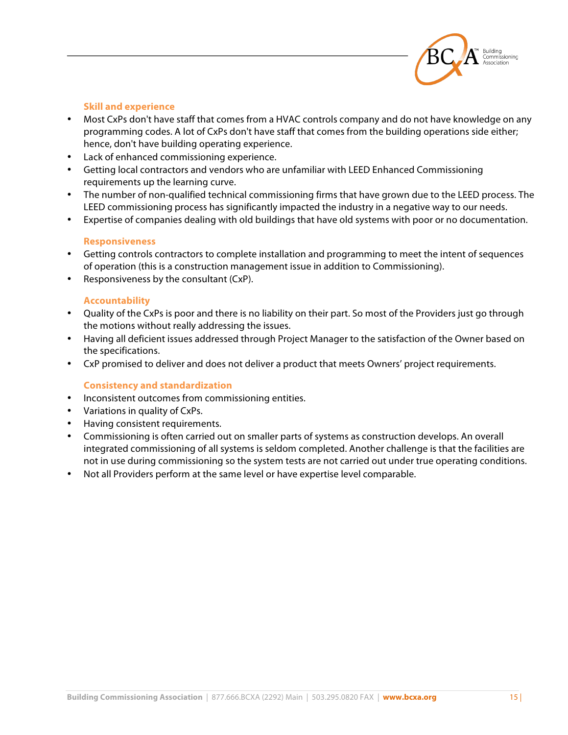

#### **Skill and experience**

- Most CxPs don't have staff that comes from a HVAC controls company and do not have knowledge on any programming codes. A lot of CxPs don't have staff that comes from the building operations side either; hence, don't have building operating experience.
- Lack of enhanced commissioning experience.
- Getting local contractors and vendors who are unfamiliar with LEED Enhanced Commissioning requirements up the learning curve.
- The number of non-qualified technical commissioning firms that have grown due to the LEED process. The LEED commissioning process has significantly impacted the industry in a negative way to our needs.
- Expertise of companies dealing with old buildings that have old systems with poor or no documentation.

#### **Responsiveness**

- Getting controls contractors to complete installation and programming to meet the intent of sequences of operation (this is a construction management issue in addition to Commissioning).
- Responsiveness by the consultant (CxP).

#### **Accountability**

- Quality of the CxPs is poor and there is no liability on their part. So most of the Providers just go through the motions without really addressing the issues.
- Having all deficient issues addressed through Project Manager to the satisfaction of the Owner based on the specifications.
- CxP promised to deliver and does not deliver a product that meets Owners' project requirements.

#### **Consistency and standardization**

- Inconsistent outcomes from commissioning entities.
- Variations in quality of CxPs.
- Having consistent requirements.
- Commissioning is often carried out on smaller parts of systems as construction develops. An overall integrated commissioning of all systems is seldom completed. Another challenge is that the facilities are not in use during commissioning so the system tests are not carried out under true operating conditions.
- Not all Providers perform at the same level or have expertise level comparable.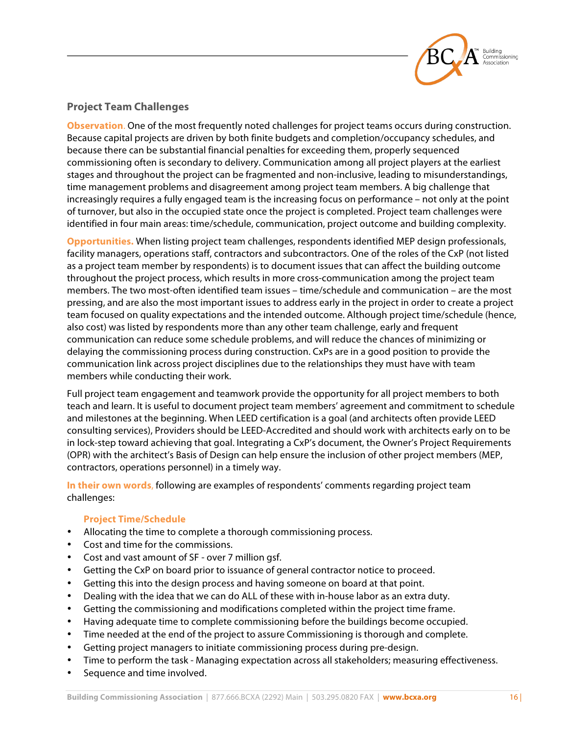

## **Project Team Challenges**

**Observation**. One of the most frequently noted challenges for project teams occurs during construction. Because capital projects are driven by both finite budgets and completion/occupancy schedules, and because there can be substantial financial penalties for exceeding them, properly sequenced commissioning often is secondary to delivery. Communication among all project players at the earliest stages and throughout the project can be fragmented and non-inclusive, leading to misunderstandings, time management problems and disagreement among project team members. A big challenge that increasingly requires a fully engaged team is the increasing focus on performance – not only at the point of turnover, but also in the occupied state once the project is completed. Project team challenges were identified in four main areas: time/schedule, communication, project outcome and building complexity.

**Opportunities.** When listing project team challenges, respondents identified MEP design professionals, facility managers, operations staff, contractors and subcontractors. One of the roles of the CxP (not listed as a project team member by respondents) is to document issues that can affect the building outcome throughout the project process, which results in more cross-communication among the project team members. The two most-often identified team issues – time/schedule and communication – are the most pressing, and are also the most important issues to address early in the project in order to create a project team focused on quality expectations and the intended outcome. Although project time/schedule (hence, also cost) was listed by respondents more than any other team challenge, early and frequent communication can reduce some schedule problems, and will reduce the chances of minimizing or delaying the commissioning process during construction. CxPs are in a good position to provide the communication link across project disciplines due to the relationships they must have with team members while conducting their work.

Full project team engagement and teamwork provide the opportunity for all project members to both teach and learn. It is useful to document project team members' agreement and commitment to schedule and milestones at the beginning. When LEED certification is a goal (and architects often provide LEED consulting services), Providers should be LEED-Accredited and should work with architects early on to be in lock-step toward achieving that goal. Integrating a CxP's document, the Owner's Project Requirements (OPR) with the architect's Basis of Design can help ensure the inclusion of other project members (MEP, contractors, operations personnel) in a timely way.

**In their own words**, following are examples of respondents' comments regarding project team challenges:

#### **Project Time/Schedule**

- Allocating the time to complete a thorough commissioning process.
- Cost and time for the commissions.
- Cost and vast amount of SF over 7 million gsf.
- Getting the CxP on board prior to issuance of general contractor notice to proceed.
- Getting this into the design process and having someone on board at that point.
- Dealing with the idea that we can do ALL of these with in-house labor as an extra duty.
- Getting the commissioning and modifications completed within the project time frame.
- Having adequate time to complete commissioning before the buildings become occupied.
- Time needed at the end of the project to assure Commissioning is thorough and complete.
- Getting project managers to initiate commissioning process during pre-design.
- Time to perform the task Managing expectation across all stakeholders; measuring effectiveness.
- Sequence and time involved.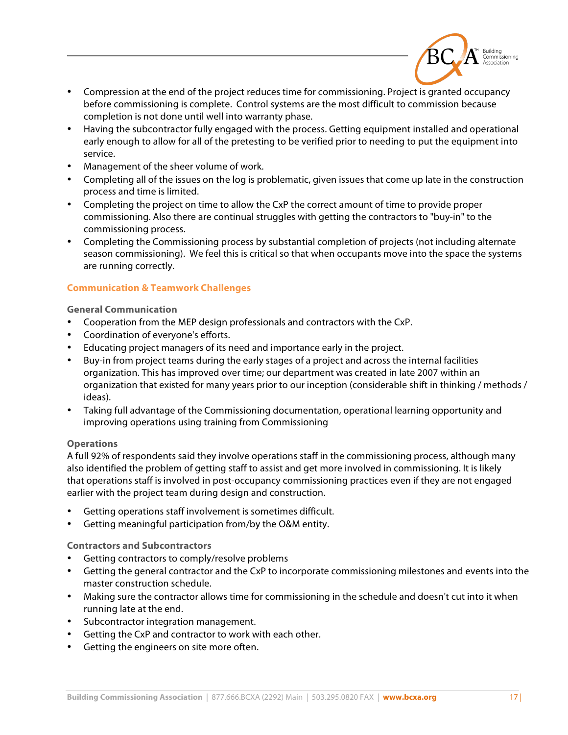

- Compression at the end of the project reduces time for commissioning. Project is granted occupancy before commissioning is complete. Control systems are the most difficult to commission because completion is not done until well into warranty phase.
- Having the subcontractor fully engaged with the process. Getting equipment installed and operational early enough to allow for all of the pretesting to be verified prior to needing to put the equipment into service.
- Management of the sheer volume of work.
- Completing all of the issues on the log is problematic, given issues that come up late in the construction process and time is limited.
- Completing the project on time to allow the CxP the correct amount of time to provide proper commissioning. Also there are continual struggles with getting the contractors to "buy-in" to the commissioning process.
- Completing the Commissioning process by substantial completion of projects (not including alternate season commissioning). We feel this is critical so that when occupants move into the space the systems are running correctly.

#### **Communication & Teamwork Challenges**

**General Communication**

- Cooperation from the MEP design professionals and contractors with the CxP.
- Coordination of everyone's efforts.
- Educating project managers of its need and importance early in the project.
- Buy-in from project teams during the early stages of a project and across the internal facilities organization. This has improved over time; our department was created in late 2007 within an organization that existed for many years prior to our inception (considerable shift in thinking / methods / ideas).
- Taking full advantage of the Commissioning documentation, operational learning opportunity and improving operations using training from Commissioning

#### **Operations**

A full 92% of respondents said they involve operations staff in the commissioning process, although many also identified the problem of getting staff to assist and get more involved in commissioning. It is likely that operations staff is involved in post-occupancy commissioning practices even if they are not engaged earlier with the project team during design and construction.

- Getting operations staff involvement is sometimes difficult.
- Getting meaningful participation from/by the O&M entity.

**Contractors and Subcontractors**

- Getting contractors to comply/resolve problems
- Getting the general contractor and the CxP to incorporate commissioning milestones and events into the master construction schedule.
- Making sure the contractor allows time for commissioning in the schedule and doesn't cut into it when running late at the end.
- Subcontractor integration management.
- Getting the CxP and contractor to work with each other.
- Getting the engineers on site more often.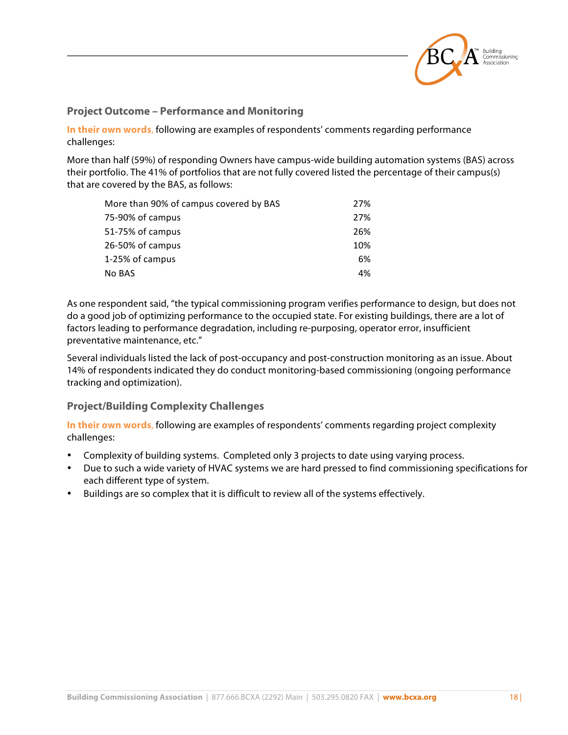

#### **Project Outcome – Performance and Monitoring**

**In their own words**, following are examples of respondents' comments regarding performance challenges:

More than half (59%) of responding Owners have campus-wide building automation systems (BAS) across their portfolio. The 41% of portfolios that are not fully covered listed the percentage of their campus(s) that are covered by the BAS, as follows:

| More than 90% of campus covered by BAS | 27% |
|----------------------------------------|-----|
| 75-90% of campus                       | 27% |
| 51-75% of campus                       | 26% |
| 26-50% of campus                       | 10% |
| 1-25% of campus                        | 6%  |
| No BAS                                 | 4%  |

As one respondent said, "the typical commissioning program verifies performance to design, but does not do a good job of optimizing performance to the occupied state. For existing buildings, there are a lot of factors leading to performance degradation, including re-purposing, operator error, insufficient preventative maintenance, etc."

Several individuals listed the lack of post-occupancy and post-construction monitoring as an issue. About 14% of respondents indicated they do conduct monitoring-based commissioning (ongoing performance tracking and optimization).

#### **Project/Building Complexity Challenges**

**In their own words**, following are examples of respondents' comments regarding project complexity challenges:

- Complexity of building systems. Completed only 3 projects to date using varying process.
- Due to such a wide variety of HVAC systems we are hard pressed to find commissioning specifications for each different type of system.
- Buildings are so complex that it is difficult to review all of the systems effectively.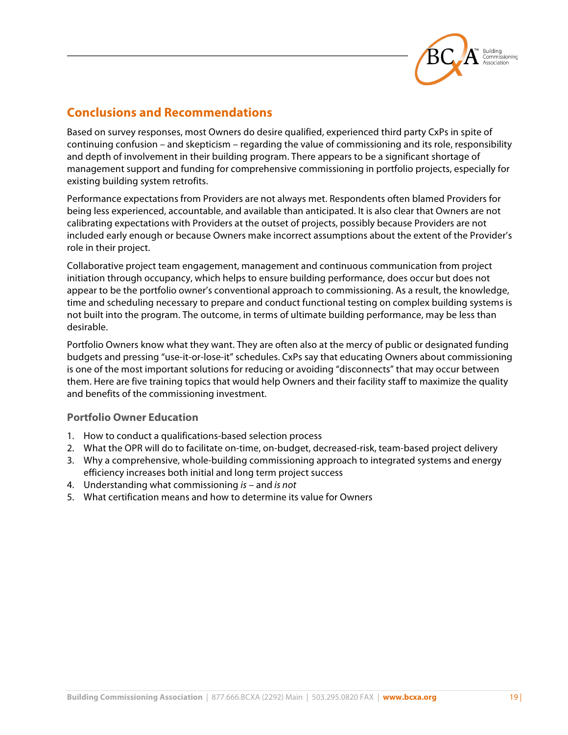

# **Conclusions and Recommendations**

Based on survey responses, most Owners do desire qualified, experienced third party CxPs in spite of continuing confusion – and skepticism – regarding the value of commissioning and its role, responsibility and depth of involvement in their building program. There appears to be a significant shortage of management support and funding for comprehensive commissioning in portfolio projects, especially for existing building system retrofits.

Performance expectations from Providers are not always met. Respondents often blamed Providers for being less experienced, accountable, and available than anticipated. It is also clear that Owners are not calibrating expectations with Providers at the outset of projects, possibly because Providers are not included early enough or because Owners make incorrect assumptions about the extent of the Provider's role in their project.

Collaborative project team engagement, management and continuous communication from project initiation through occupancy, which helps to ensure building performance, does occur but does not appear to be the portfolio owner's conventional approach to commissioning. As a result, the knowledge, time and scheduling necessary to prepare and conduct functional testing on complex building systems is not built into the program. The outcome, in terms of ultimate building performance, may be less than desirable.

Portfolio Owners know what they want. They are often also at the mercy of public or designated funding budgets and pressing "use-it-or-lose-it" schedules. CxPs say that educating Owners about commissioning is one of the most important solutions for reducing or avoiding "disconnects" that may occur between them. Here are five training topics that would help Owners and their facility staff to maximize the quality and benefits of the commissioning investment.

#### **Portfolio Owner Education**

- 1. How to conduct a qualifications-based selection process
- 2. What the OPR will do to facilitate on-time, on-budget, decreased-risk, team-based project delivery
- 3. Why a comprehensive, whole-building commissioning approach to integrated systems and energy efficiency increases both initial and long term project success
- 4. Understanding what commissioning *is* and *is not*
- 5. What certification means and how to determine its value for Owners